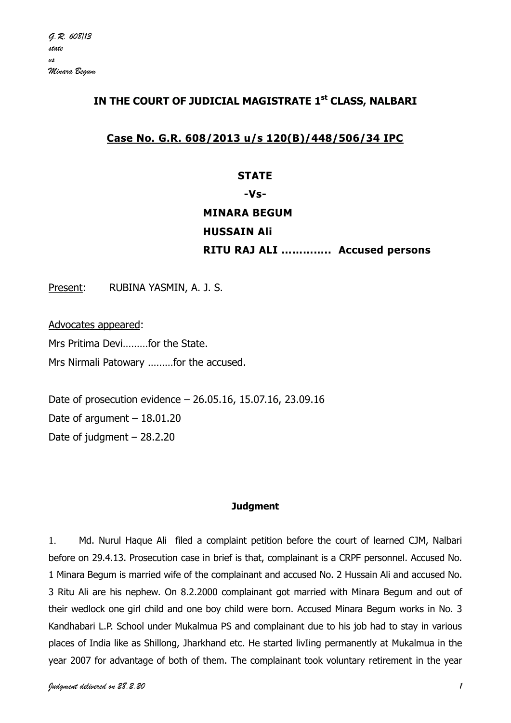## **IN THE COURT OF JUDICIAL MAGISTRATE 1st CLASS, NALBARI**

## **Case No. G.R. 608/2013 u/s 120(B)/448/506/34 IPC**

#### **STATE**

# **-Vs-**

# **MINARA BEGUM HUSSAIN Ali RITU RAJ ALI ………….. Accused persons**

Present: RUBINA YASMIN, A. J. S.

Advocates appeared: Mrs Pritima Devi………for the State. Mrs Nirmali Patowary ………for the accused.

Date of prosecution evidence – 26.05.16, 15.07.16, 23.09.16 Date of argument  $-18.01.20$ Date of judgment – 28.2.20

#### **Judgment**

1. Md. Nurul Haque Ali filed a complaint petition before the court of learned CJM, Nalbari before on 29.4.13. Prosecution case in brief is that, complainant is a CRPF personnel. Accused No. 1 Minara Begum is married wife of the complainant and accused No. 2 Hussain Ali and accused No. 3 Ritu Ali are his nephew. On 8.2.2000 complainant got married with Minara Begum and out of their wedlock one girl child and one boy child were born. Accused Minara Begum works in No. 3 Kandhabari L.P. School under Mukalmua PS and complainant due to his job had to stay in various places of India like as Shillong, Jharkhand etc. He started livIing permanently at Mukalmua in the year 2007 for advantage of both of them. The complainant took voluntary retirement in the year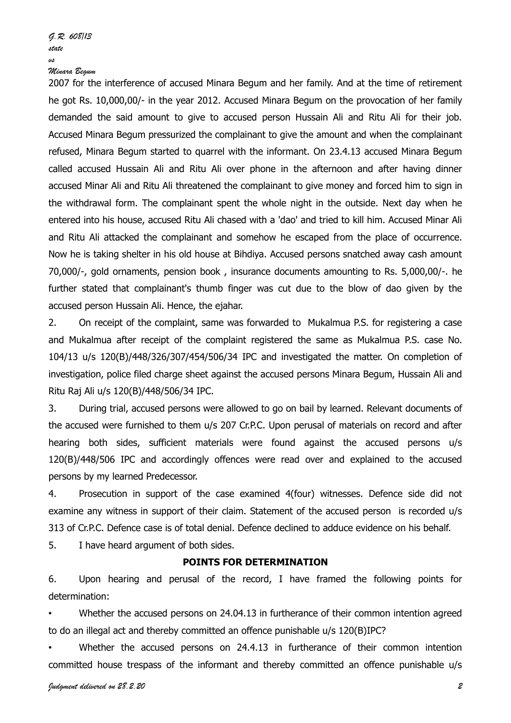2007 for the interference of accused Minara Begum and her family. And at the time of retirement he got Rs. 10,000,00/- in the year 2012. Accused Minara Begum on the provocation of her family demanded the said amount to give to accused person Hussain Ali and Ritu Ali for their job. Accused Minara Begum pressurized the complainant to give the amount and when the complainant refused, Minara Begum started to quarrel with the informant. On 23.4.13 accused Minara Begum called accused Hussain Ali and Ritu Ali over phone in the afternoon and after having dinner accused Minar Ali and Ritu Ali threatened the complainant to give money and forced him to sign in the withdrawal form. The complainant spent the whole night in the outside. Next day when he entered into his house, accused Ritu Ali chased with a 'dao' and tried to kill him. Accused Minar Ali and Ritu Ali attacked the complainant and somehow he escaped from the place of occurrence. Now he is taking shelter in his old house at Bihdiya. Accused persons snatched away cash amount 70,000/-, gold ornaments, pension book , insurance documents amounting to Rs. 5,000,00/-. he further stated that complainant's thumb finger was cut due to the blow of dao given by the accused person Hussain Ali. Hence, the ejahar.

2. On receipt of the complaint, same was forwarded to Mukalmua P.S. for registering a case and Mukalmua after receipt of the complaint registered the same as Mukalmua P.S. case No. 104/13 u/s 120(B)/448/326/307/454/506/34 IPC and investigated the matter. On completion of investigation, police filed charge sheet against the accused persons Minara Begum, Hussain Ali and Ritu Raj Ali u/s 120(B)/448/506/34 IPC.

3. During trial, accused persons were allowed to go on bail by learned. Relevant documents of the accused were furnished to them u/s 207 Cr.P.C. Upon perusal of materials on record and after hearing both sides, sufficient materials were found against the accused persons u/s 120(B)/448/506 IPC and accordingly offences were read over and explained to the accused persons by my learned Predecessor.

4. Prosecution in support of the case examined 4(four) witnesses. Defence side did not examine any witness in support of their claim. Statement of the accused person is recorded u/s 313 of Cr.P.C. Defence case is of total denial. Defence declined to adduce evidence on his behalf.

5. I have heard argument of both sides.

#### **POINTS FOR DETERMINATION**

6. Upon hearing and perusal of the record, I have framed the following points for determination:

Whether the accused persons on 24.04.13 in furtherance of their common intention agreed to do an illegal act and thereby committed an offence punishable u/s 120(B)IPC?

Whether the accused persons on 24.4.13 in furtherance of their common intention committed house trespass of the informant and thereby committed an offence punishable u/s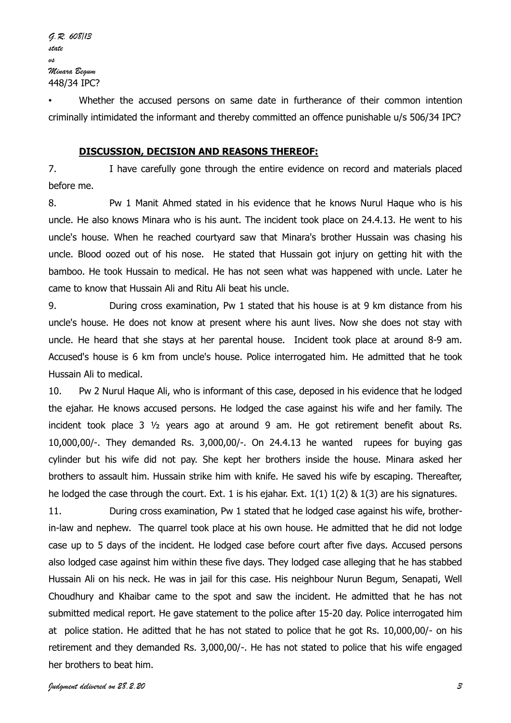Whether the accused persons on same date in furtherance of their common intention criminally intimidated the informant and thereby committed an offence punishable u/s 506/34 IPC?

#### **DISCUSSION, DECISION AND REASONS THEREOF:**

7. I have carefully gone through the entire evidence on record and materials placed before me.

8. Pw 1 Manit Ahmed stated in his evidence that he knows Nurul Haque who is his uncle. He also knows Minara who is his aunt. The incident took place on 24.4.13. He went to his uncle's house. When he reached courtyard saw that Minara's brother Hussain was chasing his uncle. Blood oozed out of his nose. He stated that Hussain got injury on getting hit with the bamboo. He took Hussain to medical. He has not seen what was happened with uncle. Later he came to know that Hussain Ali and Ritu Ali beat his uncle.

9. During cross examination, Pw 1 stated that his house is at 9 km distance from his uncle's house. He does not know at present where his aunt lives. Now she does not stay with uncle. He heard that she stays at her parental house. Incident took place at around 8-9 am. Accused's house is 6 km from uncle's house. Police interrogated him. He admitted that he took Hussain Ali to medical.

10. Pw 2 Nurul Haque Ali, who is informant of this case, deposed in his evidence that he lodged the ejahar. He knows accused persons. He lodged the case against his wife and her family. The incident took place 3 ½ years ago at around 9 am. He got retirement benefit about Rs. 10,000,00/-. They demanded Rs. 3,000,00/-. On 24.4.13 he wanted rupees for buying gas cylinder but his wife did not pay. She kept her brothers inside the house. Minara asked her brothers to assault him. Hussain strike him with knife. He saved his wife by escaping. Thereafter, he lodged the case through the court. Ext. 1 is his ejahar. Ext. 1(1) 1(2) & 1(3) are his signatures.

11. During cross examination, Pw 1 stated that he lodged case against his wife, brotherin-law and nephew. The quarrel took place at his own house. He admitted that he did not lodge case up to 5 days of the incident. He lodged case before court after five days. Accused persons also lodged case against him within these five days. They lodged case alleging that he has stabbed Hussain Ali on his neck. He was in jail for this case. His neighbour Nurun Begum, Senapati, Well Choudhury and Khaibar came to the spot and saw the incident. He admitted that he has not submitted medical report. He gave statement to the police after 15-20 day. Police interrogated him at police station. He aditted that he has not stated to police that he got Rs. 10,000,00/- on his retirement and they demanded Rs. 3,000,00/-. He has not stated to police that his wife engaged her brothers to beat him.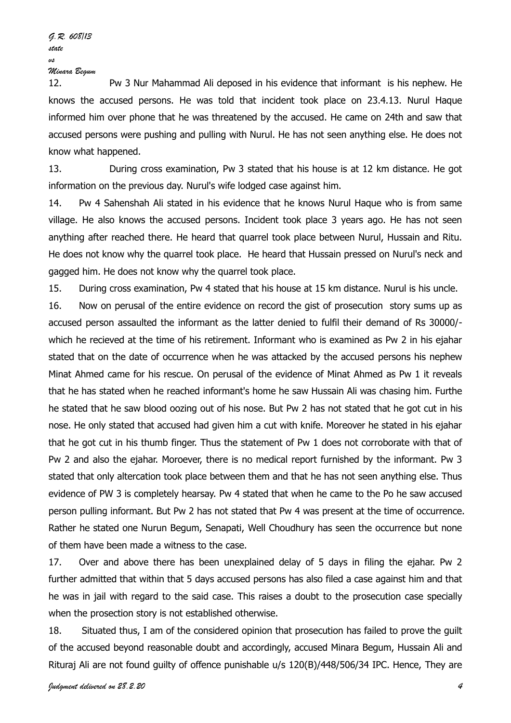12. Pw 3 Nur Mahammad Ali deposed in his evidence that informant is his nephew. He knows the accused persons. He was told that incident took place on 23.4.13. Nurul Haque informed him over phone that he was threatened by the accused. He came on 24th and saw that accused persons were pushing and pulling with Nurul. He has not seen anything else. He does not know what happened.

13. During cross examination, Pw 3 stated that his house is at 12 km distance. He got information on the previous day. Nurul's wife lodged case against him.

14. Pw 4 Sahenshah Ali stated in his evidence that he knows Nurul Haque who is from same village. He also knows the accused persons. Incident took place 3 years ago. He has not seen anything after reached there. He heard that quarrel took place between Nurul, Hussain and Ritu. He does not know why the quarrel took place. He heard that Hussain pressed on Nurul's neck and gagged him. He does not know why the quarrel took place.

15. During cross examination, Pw 4 stated that his house at 15 km distance. Nurul is his uncle.

16. Now on perusal of the entire evidence on record the gist of prosecution story sums up as accused person assaulted the informant as the latter denied to fulfil their demand of Rs 30000/ which he recieved at the time of his retirement. Informant who is examined as Pw 2 in his ejahar stated that on the date of occurrence when he was attacked by the accused persons his nephew Minat Ahmed came for his rescue. On perusal of the evidence of Minat Ahmed as Pw 1 it reveals that he has stated when he reached informant's home he saw Hussain Ali was chasing him. Furthe he stated that he saw blood oozing out of his nose. But Pw 2 has not stated that he got cut in his nose. He only stated that accused had given him a cut with knife. Moreover he stated in his ejahar that he got cut in his thumb finger. Thus the statement of Pw 1 does not corroborate with that of Pw 2 and also the ejahar. Moroever, there is no medical report furnished by the informant. Pw 3 stated that only altercation took place between them and that he has not seen anything else. Thus evidence of PW 3 is completely hearsay. Pw 4 stated that when he came to the Po he saw accused person pulling informant. But Pw 2 has not stated that Pw 4 was present at the time of occurrence. Rather he stated one Nurun Begum, Senapati, Well Choudhury has seen the occurrence but none of them have been made a witness to the case.

17. Over and above there has been unexplained delay of 5 days in filing the ejahar. Pw 2 further admitted that within that 5 days accused persons has also filed a case against him and that he was in jail with regard to the said case. This raises a doubt to the prosecution case specially when the prosection story is not established otherwise.

18. Situated thus, I am of the considered opinion that prosecution has failed to prove the guilt of the accused beyond reasonable doubt and accordingly, accused Minara Begum, Hussain Ali and Rituraj Ali are not found guilty of offence punishable u/s 120(B)/448/506/34 IPC. Hence, They are